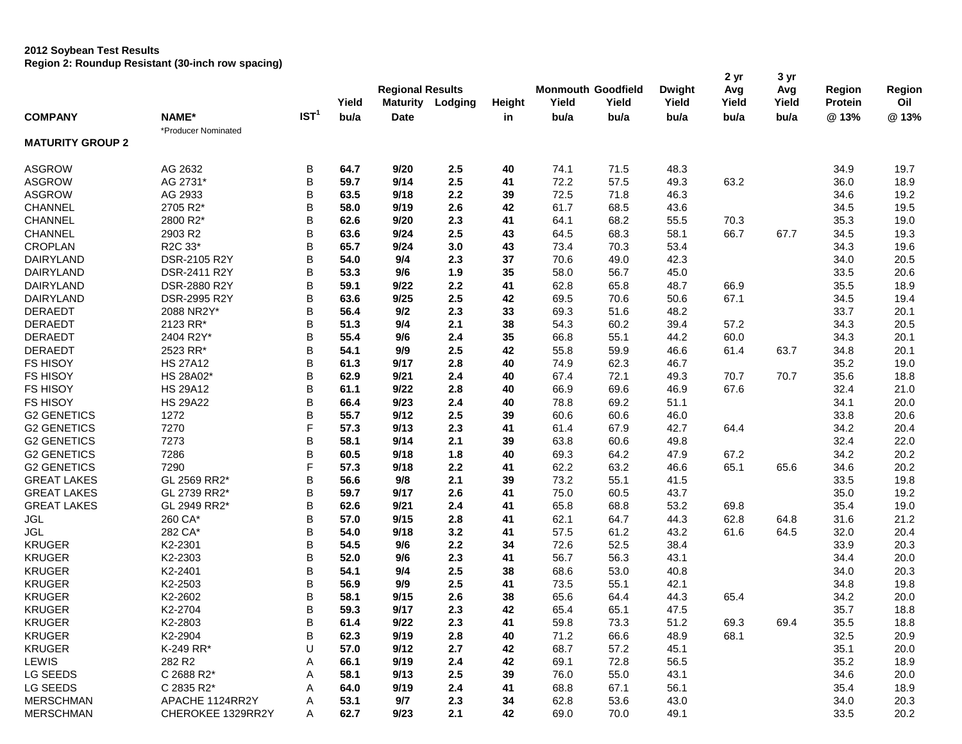#### **2012 Soybean Test Results**

**Region 2: Roundup Resistant (30-inch row spacing)**

|                         | ivegion 2. Noundap Resistant (Jo-mon Tow Spacing) |                  |       |                         |                         |        |                                    |       |                        | 2 yr         | 3 yr         |                          |                      |
|-------------------------|---------------------------------------------------|------------------|-------|-------------------------|-------------------------|--------|------------------------------------|-------|------------------------|--------------|--------------|--------------------------|----------------------|
|                         |                                                   |                  | Yield | <b>Regional Results</b> | <b>Maturity Lodging</b> | Height | <b>Monmouth Goodfield</b><br>Yield | Yield | <b>Dwight</b><br>Yield | Avg<br>Yield | Avg<br>Yield | Region<br><b>Protein</b> | <b>Region</b><br>Oil |
| <b>COMPANY</b>          | NAME*                                             | IST <sup>1</sup> | bu/a  | <b>Date</b>             |                         | in     | bu/a                               | bu/a  | bu/a                   | bu/a         | bu/a         | @13%                     | @13%                 |
| <b>MATURITY GROUP 2</b> | *Producer Nominated                               |                  |       |                         |                         |        |                                    |       |                        |              |              |                          |                      |
| <b>ASGROW</b>           | AG 2632                                           | B                | 64.7  | 9/20                    | 2.5                     | 40     | 74.1                               | 71.5  | 48.3                   |              |              | 34.9                     | 19.7                 |
| <b>ASGROW</b>           | AG 2731*                                          | B                | 59.7  | 9/14                    | 2.5                     | 41     | 72.2                               | 57.5  | 49.3                   | 63.2         |              | 36.0                     | 18.9                 |
| <b>ASGROW</b>           | AG 2933                                           | B                | 63.5  | 9/18                    | 2.2                     | 39     | 72.5                               | 71.8  | 46.3                   |              |              | 34.6                     | 19.2                 |
| CHANNEL                 | 2705 R2*                                          | B                | 58.0  | 9/19                    | 2.6                     | 42     | 61.7                               | 68.5  | 43.6                   |              |              | 34.5                     | 19.5                 |
| CHANNEL                 | 2800 R2*                                          | B                | 62.6  | 9/20                    | 2.3                     | 41     | 64.1                               | 68.2  | 55.5                   | 70.3         |              | 35.3                     | 19.0                 |
| CHANNEL                 | 2903 R2                                           | B                | 63.6  | 9/24                    | 2.5                     | 43     | 64.5                               | 68.3  | 58.1                   | 66.7         | 67.7         | 34.5                     | 19.3                 |
| <b>CROPLAN</b>          | R2C 33*                                           | B                | 65.7  | 9/24                    | 3.0                     | 43     | 73.4                               | 70.3  | 53.4                   |              |              | 34.3                     | 19.6                 |
| DAIRYLAND               | DSR-2105 R2Y                                      | B                | 54.0  | 9/4                     | 2.3                     | 37     | 70.6                               | 49.0  | 42.3                   |              |              | 34.0                     | 20.5                 |
| DAIRYLAND               | DSR-2411 R2Y                                      | B                | 53.3  | 9/6                     | 1.9                     | 35     | 58.0                               | 56.7  | 45.0                   |              |              | 33.5                     | 20.6                 |
| DAIRYLAND               | DSR-2880 R2Y                                      | B                | 59.1  | 9/22                    | 2.2                     | 41     | 62.8                               | 65.8  | 48.7                   | 66.9         |              | 35.5                     | 18.9                 |
| <b>DAIRYLAND</b>        | DSR-2995 R2Y                                      | B                | 63.6  | 9/25                    | 2.5                     | 42     | 69.5                               | 70.6  | 50.6                   | 67.1         |              | 34.5                     | 19.4                 |
| <b>DERAEDT</b>          | 2088 NR2Y*                                        | B                | 56.4  | 9/2                     | 2.3                     | 33     | 69.3                               | 51.6  | 48.2                   |              |              | 33.7                     | 20.1                 |
| <b>DERAEDT</b>          | 2123 RR*                                          | B                | 51.3  | 9/4                     | 2.1                     | 38     | 54.3                               | 60.2  | 39.4                   | 57.2         |              | 34.3                     | 20.5                 |
| <b>DERAEDT</b>          | 2404 R2Y*                                         | B                | 55.4  | 9/6                     | 2.4                     | 35     | 66.8                               | 55.1  | 44.2                   | 60.0         |              | 34.3                     | 20.1                 |
| <b>DERAEDT</b>          | 2523 RR*                                          | B                | 54.1  | 9/9                     | 2.5                     | 42     | 55.8                               | 59.9  | 46.6                   | 61.4         | 63.7         | 34.8                     | 20.1                 |
| <b>FS HISOY</b>         | <b>HS 27A12</b>                                   | B                | 61.3  | 9/17                    | 2.8                     | 40     | 74.9                               | 62.3  | 46.7                   |              |              | 35.2                     | 19.0                 |
| <b>FS HISOY</b>         | HS 28A02*                                         | B                | 62.9  | 9/21                    | 2.4                     | 40     | 67.4                               | 72.1  | 49.3                   | 70.7         | 70.7         | 35.6                     | 18.8                 |
| <b>FS HISOY</b>         | <b>HS 29A12</b>                                   | B                | 61.1  | 9/22                    | 2.8                     | 40     | 66.9                               | 69.6  | 46.9                   | 67.6         |              | 32.4                     | 21.0                 |
| FS HISOY                | <b>HS 29A22</b>                                   | B                | 66.4  | 9/23                    | 2.4                     | 40     | 78.8                               | 69.2  | 51.1                   |              |              | 34.1                     | 20.0                 |
| <b>G2 GENETICS</b>      | 1272                                              | B                | 55.7  | 9/12                    | 2.5                     | 39     | 60.6                               | 60.6  | 46.0                   |              |              | 33.8                     | 20.6                 |
| <b>G2 GENETICS</b>      | 7270                                              | F                | 57.3  | 9/13                    | 2.3                     | 41     | 61.4                               | 67.9  | 42.7                   | 64.4         |              | 34.2                     | 20.4                 |
| <b>G2 GENETICS</b>      | 7273                                              | B                | 58.1  | 9/14                    | 2.1                     | 39     | 63.8                               | 60.6  | 49.8                   |              |              | 32.4                     | 22.0                 |
| <b>G2 GENETICS</b>      | 7286                                              | B                | 60.5  | 9/18                    | 1.8                     | 40     | 69.3                               | 64.2  | 47.9                   | 67.2         |              | 34.2                     | 20.2                 |
| <b>G2 GENETICS</b>      | 7290                                              | F                | 57.3  | 9/18                    | 2.2                     | 41     | 62.2                               | 63.2  | 46.6                   | 65.1         | 65.6         | 34.6                     | 20.2                 |
| <b>GREAT LAKES</b>      | GL 2569 RR2*                                      | B                | 56.6  | 9/8                     | 2.1                     | 39     | 73.2                               | 55.1  | 41.5                   |              |              | 33.5                     | 19.8                 |
| <b>GREAT LAKES</b>      | GL 2739 RR2*                                      | B                | 59.7  | 9/17                    | 2.6                     | 41     | 75.0                               | 60.5  | 43.7                   |              |              | 35.0                     | 19.2                 |
| <b>GREAT LAKES</b>      | GL 2949 RR2*                                      | B                | 62.6  | 9/21                    | 2.4                     | 41     | 65.8                               | 68.8  | 53.2                   | 69.8         |              | 35.4                     | 19.0                 |
| <b>JGL</b>              | 260 CA*                                           | B                | 57.0  | 9/15                    | 2.8                     | 41     | 62.1                               | 64.7  | 44.3                   | 62.8         | 64.8         | 31.6                     | 21.2                 |
| <b>JGL</b>              | 282 CA*                                           | B                | 54.0  | 9/18                    | 3.2                     | 41     | 57.5                               | 61.2  | 43.2                   | 61.6         | 64.5         | 32.0                     | 20.4                 |
| <b>KRUGER</b>           | K2-2301                                           | B                | 54.5  | 9/6                     | 2.2                     | 34     | 72.6                               | 52.5  | 38.4                   |              |              | 33.9                     | 20.3                 |
| <b>KRUGER</b>           | K2-2303                                           | B                | 52.0  | 9/6                     | 2.3                     | 41     | 56.7                               | 56.3  | 43.1                   |              |              | 34.4                     | 20.0                 |
| <b>KRUGER</b>           | K2-2401                                           | B                | 54.1  | 9/4                     | 2.5                     | 38     | 68.6                               | 53.0  | 40.8                   |              |              | 34.0                     | 20.3                 |
| <b>KRUGER</b>           | K2-2503                                           | B                | 56.9  | 9/9                     | 2.5                     | 41     | 73.5                               | 55.1  | 42.1                   |              |              | 34.8                     | 19.8                 |
| <b>KRUGER</b>           | K2-2602                                           | B                | 58.1  | 9/15                    | 2.6                     | 38     | 65.6                               | 64.4  | 44.3                   | 65.4         |              | 34.2                     | 20.0                 |
|                         |                                                   | R                |       |                         |                         |        |                                    |       |                        |              |              |                          |                      |
| <b>KRUGER</b>           | K2-2704                                           |                  | 59.3  | 9/17                    | 2.3                     | 42     | 65.4                               | 65.1  | 47.5                   |              |              | 35.7                     | 18.8                 |
| <b>KRUGER</b>           | K2-2803                                           | В                | 61.4  | 9/22                    | 2.3                     | 41     | 59.8                               | 73.3  | 51.2                   | 69.3         | 69.4         | 35.5                     | 18.8                 |
| <b>KRUGER</b>           | K2-2904                                           | B                | 62.3  | 9/19                    | 2.8                     | 40     | 71.2                               | 66.6  | 48.9                   | 68.1         |              | 32.5                     | 20.9                 |
| <b>KRUGER</b>           | K-249 RR*                                         | U                | 57.0  | 9/12                    | 2.7                     | 42     | 68.7                               | 57.2  | 45.1                   |              |              | 35.1                     | 20.0                 |
| LEWIS                   | 282 R2                                            | Α                | 66.1  | 9/19                    | 2.4                     | 42     | 69.1                               | 72.8  | 56.5                   |              |              | 35.2                     | 18.9                 |
| LG SEEDS                | C 2688 R2*                                        | Α                | 58.1  | 9/13                    | 2.5                     | 39     | 76.0                               | 55.0  | 43.1                   |              |              | 34.6                     | 20.0                 |
| LG SEEDS                | C 2835 R2*                                        |                  | 64.0  | 9/19                    | 2.4                     | 41     | 68.8                               | 67.1  | 56.1                   |              |              | 35.4                     | 18.9                 |
| <b>MERSCHMAN</b>        | APACHE 1124RR2Y                                   | Α                | 53.1  | 9/7                     | 2.3                     | 34     | 62.8                               | 53.6  | 43.0                   |              |              | 34.0                     | 20.3                 |
| <b>MERSCHMAN</b>        | CHEROKEE 1329RR2Y                                 | A                | 62.7  | 9/23                    | 2.1                     | 42     | 69.0                               | 70.0  | 49.1                   |              |              | 33.5                     | 20.2                 |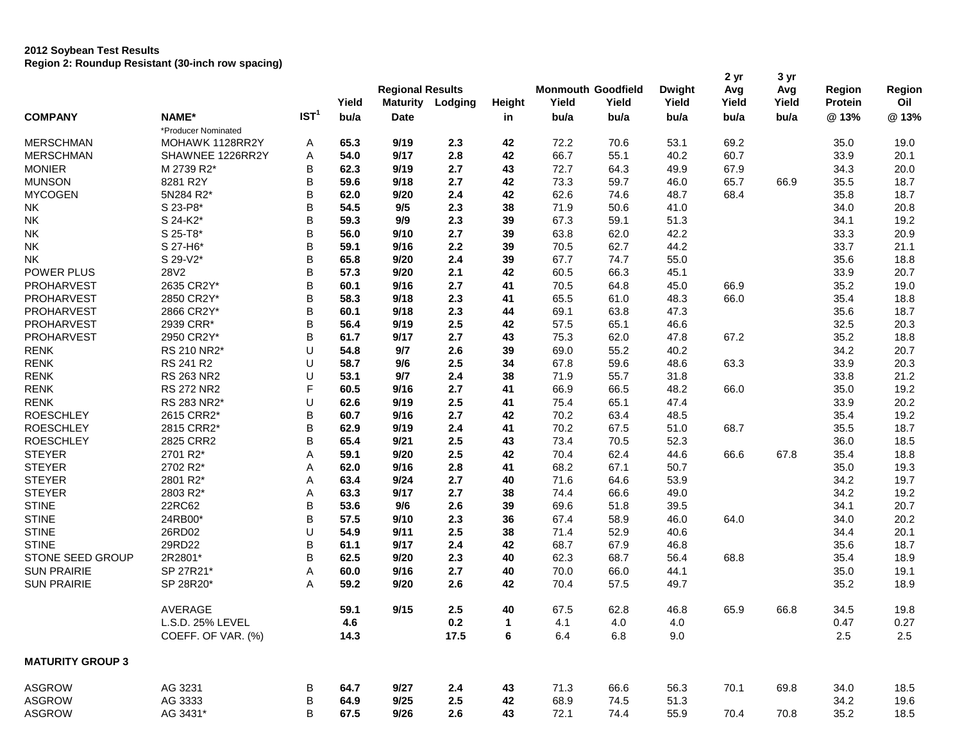|                         |                     |                  | Yield | <b>Regional Results</b><br><b>Maturity</b> | Lodging | Height | Yield | <b>Monmouth Goodfield</b><br>Yield | <b>Dwight</b><br>Yield | 2 yr<br>Avg<br>Yield | 3 yr<br>Avg<br>Yield | Region<br><b>Protein</b> | Region<br>Oil |
|-------------------------|---------------------|------------------|-------|--------------------------------------------|---------|--------|-------|------------------------------------|------------------------|----------------------|----------------------|--------------------------|---------------|
| <b>COMPANY</b>          | NAME*               | IST <sup>1</sup> | bu/a  | <b>Date</b>                                |         | in     | bu/a  | bu/a                               | bu/a                   | bu/a                 | bu/a                 | @13%                     | @13%          |
|                         | *Producer Nominated |                  |       |                                            |         |        |       |                                    |                        |                      |                      |                          |               |
| <b>MERSCHMAN</b>        | MOHAWK 1128RR2Y     | A                | 65.3  | 9/19                                       | 2.3     | 42     | 72.2  | 70.6                               | 53.1                   | 69.2                 |                      | 35.0                     | 19.0          |
| <b>MERSCHMAN</b>        | SHAWNEE 1226RR2Y    | Α                | 54.0  | 9/17                                       | 2.8     | 42     | 66.7  | 55.1                               | 40.2                   | 60.7                 |                      | 33.9                     | 20.1          |
| <b>MONIER</b>           | M 2739 R2*          | В                | 62.3  | 9/19                                       | 2.7     | 43     | 72.7  | 64.3                               | 49.9                   | 67.9                 |                      | 34.3                     | 20.0          |
| <b>MUNSON</b>           | 8281 R2Y            | В                | 59.6  | 9/18                                       | 2.7     | 42     | 73.3  | 59.7                               | 46.0                   | 65.7                 | 66.9                 | 35.5                     | 18.7          |
| <b>MYCOGEN</b>          | 5N284 R2*           | B                | 62.0  | 9/20                                       | 2.4     | 42     | 62.6  | 74.6                               | 48.7                   | 68.4                 |                      | 35.8                     | 18.7          |
| <b>NK</b>               | S 23-P8*            | В                | 54.5  | 9/5                                        | 2.3     | 38     | 71.9  | 50.6                               | 41.0                   |                      |                      | 34.0                     | 20.8          |
| NK                      | S 24-K2*            | В                | 59.3  | 9/9                                        | 2.3     | 39     | 67.3  | 59.1                               | 51.3                   |                      |                      | 34.1                     | 19.2          |
| <b>NK</b>               | S 25-T8*            | В                | 56.0  | 9/10                                       | 2.7     | 39     | 63.8  | 62.0                               | 42.2                   |                      |                      | 33.3                     | 20.9          |
| <b>NK</b>               | S 27-H6*            | В                | 59.1  | 9/16                                       | 2.2     | 39     | 70.5  | 62.7                               | 44.2                   |                      |                      | 33.7                     | 21.1          |
| <b>NK</b>               | S 29-V2*            | В                | 65.8  | 9/20                                       | 2.4     | 39     | 67.7  | 74.7                               | 55.0                   |                      |                      | 35.6                     | 18.8          |
| POWER PLUS              | 28V2                | В                | 57.3  | 9/20                                       | 2.1     | 42     | 60.5  | 66.3                               | 45.1                   |                      |                      | 33.9                     | 20.7          |
| PROHARVEST              | 2635 CR2Y*          | B                | 60.1  | 9/16                                       | 2.7     | 41     | 70.5  | 64.8                               | 45.0                   | 66.9                 |                      | 35.2                     | 19.0          |
| <b>PROHARVEST</b>       | 2850 CR2Y*          | B                | 58.3  | 9/18                                       | 2.3     | 41     | 65.5  | 61.0                               | 48.3                   | 66.0                 |                      | 35.4                     | 18.8          |
| <b>PROHARVEST</b>       | 2866 CR2Y*          | B                | 60.1  | 9/18                                       | 2.3     | 44     | 69.1  | 63.8                               | 47.3                   |                      |                      | 35.6                     | 18.7          |
| PROHARVEST              | 2939 CRR*           | В                | 56.4  | 9/19                                       | 2.5     | 42     | 57.5  | 65.1                               | 46.6                   |                      |                      | 32.5                     | 20.3          |
| <b>PROHARVEST</b>       | 2950 CR2Y*          | В                | 61.7  | 9/17                                       | 2.7     | 43     | 75.3  | 62.0                               | 47.8                   | 67.2                 |                      | 35.2                     | 18.8          |
| <b>RENK</b>             | RS 210 NR2*         | U                | 54.8  | 9/7                                        | 2.6     | 39     | 69.0  | 55.2                               | 40.2                   |                      |                      | 34.2                     | 20.7          |
| <b>RENK</b>             | RS 241 R2           | U                | 58.7  | 9/6                                        | 2.5     | 34     | 67.8  | 59.6                               | 48.6                   | 63.3                 |                      | 33.9                     | 20.3          |
| <b>RENK</b>             | <b>RS 263 NR2</b>   | U                | 53.1  | 9/7                                        | 2.4     | 38     | 71.9  | 55.7                               | 31.8                   |                      |                      | 33.8                     | 21.2          |
| <b>RENK</b>             | <b>RS 272 NR2</b>   | F                | 60.5  | 9/16                                       | 2.7     | 41     | 66.9  | 66.5                               | 48.2                   | 66.0                 |                      | 35.0                     | 19.2          |
| <b>RENK</b>             | RS 283 NR2*         | U                | 62.6  | 9/19                                       | 2.5     | 41     | 75.4  | 65.1                               | 47.4                   |                      |                      | 33.9                     | 20.2          |
| <b>ROESCHLEY</b>        | 2615 CRR2*          | B                | 60.7  | 9/16                                       | 2.7     | 42     | 70.2  | 63.4                               | 48.5                   |                      |                      | 35.4                     | 19.2          |
| <b>ROESCHLEY</b>        | 2815 CRR2*          | B                | 62.9  | 9/19                                       | 2.4     | 41     | 70.2  | 67.5                               | 51.0                   | 68.7                 |                      | 35.5                     | 18.7          |
| <b>ROESCHLEY</b>        | 2825 CRR2           | В                | 65.4  | 9/21                                       | 2.5     | 43     | 73.4  | 70.5                               | 52.3                   |                      |                      | 36.0                     | 18.5          |
| <b>STEYER</b>           | 2701 R2*            | Α                | 59.1  | 9/20                                       | 2.5     | 42     | 70.4  | 62.4                               | 44.6                   | 66.6                 | 67.8                 | 35.4                     | 18.8          |
| <b>STEYER</b>           | 2702 R2*            | Α                | 62.0  | 9/16                                       | 2.8     | 41     | 68.2  | 67.1                               | 50.7                   |                      |                      | 35.0                     | 19.3          |
| <b>STEYER</b>           | 2801 R2*            | Α                | 63.4  | 9/24                                       | 2.7     | 40     | 71.6  | 64.6                               | 53.9                   |                      |                      | 34.2                     | 19.7          |
| <b>STEYER</b>           | 2803 R2*            | Α                | 63.3  | 9/17                                       | 2.7     | 38     | 74.4  | 66.6                               | 49.0                   |                      |                      | 34.2                     | 19.2          |
| <b>STINE</b>            | 22RC62              | В                | 53.6  | 9/6                                        | 2.6     | 39     | 69.6  | 51.8                               | 39.5                   |                      |                      | 34.1                     | 20.7          |
| <b>STINE</b>            | 24RB00*             | В                | 57.5  | 9/10                                       | 2.3     | 36     | 67.4  | 58.9                               | 46.0                   | 64.0                 |                      | 34.0                     | 20.2          |
| <b>STINE</b>            | 26RD02              | U                | 54.9  | 9/11                                       | 2.5     | 38     | 71.4  | 52.9                               | 40.6                   |                      |                      | 34.4                     | 20.1          |
| <b>STINE</b>            | 29RD22              | B                | 61.1  | 9/17                                       | 2.4     | 42     | 68.7  | 67.9                               | 46.8                   |                      |                      | 35.6                     | 18.7          |
| <b>STONE SEED GROUP</b> | 2R2801*             | B                | 62.5  | 9/20                                       | 2.3     | 40     | 62.3  | 68.7                               | 56.4                   | 68.8                 |                      | 35.4                     | 18.9          |
| <b>SUN PRAIRIE</b>      | SP 27R21*           | Α                | 60.0  | 9/16                                       | 2.7     | 40     | 70.0  | 66.0                               | 44.1                   |                      |                      | 35.0                     | 19.1          |
| <b>SUN PRAIRIE</b>      | SP 28R20*           | Α                | 59.2  | 9/20                                       | 2.6     | 42     | 70.4  | 57.5                               | 49.7                   |                      |                      | 35.2                     | 18.9          |
|                         |                     |                  |       |                                            |         |        |       |                                    |                        |                      |                      |                          |               |
|                         | AVERAGE             |                  | 59.1  | 9/15                                       | 2.5     | 40     | 67.5  | 62.8                               | 46.8                   | 65.9                 | 66.8                 | 34.5                     | 19.8          |
|                         | L.S.D. 25% LEVEL    |                  | 4.6   |                                            | 0.2     | 1      | 4.1   | 4.0                                | $4.0\,$                |                      |                      | 0.47                     | 0.27          |
|                         | COEFF. OF VAR. (%)  |                  | 14.3  |                                            | 17.5    | 6      | 6.4   | 6.8                                | 9.0                    |                      |                      | $2.5\,$                  | 2.5           |
| <b>MATURITY GROUP 3</b> |                     |                  |       |                                            |         |        |       |                                    |                        |                      |                      |                          |               |
| ASGROW                  | AG 3231             | В                | 64.7  | 9/27                                       | 2.4     | 43     | 71.3  | 66.6                               | 56.3                   | 70.1                 | 69.8                 | 34.0                     | 18.5          |
| <b>ASGROW</b>           | AG 3333             | В                | 64.9  | 9/25                                       | $2.5\,$ | 42     | 68.9  | 74.5                               | 51.3                   |                      |                      | 34.2                     | 19.6          |
| ASGROW                  | AG 3431*            | B                | 67.5  | 9/26                                       | 2.6     | 43     | 72.1  | 74.4                               | 55.9                   | 70.4                 | 70.8                 | 35.2                     | 18.5          |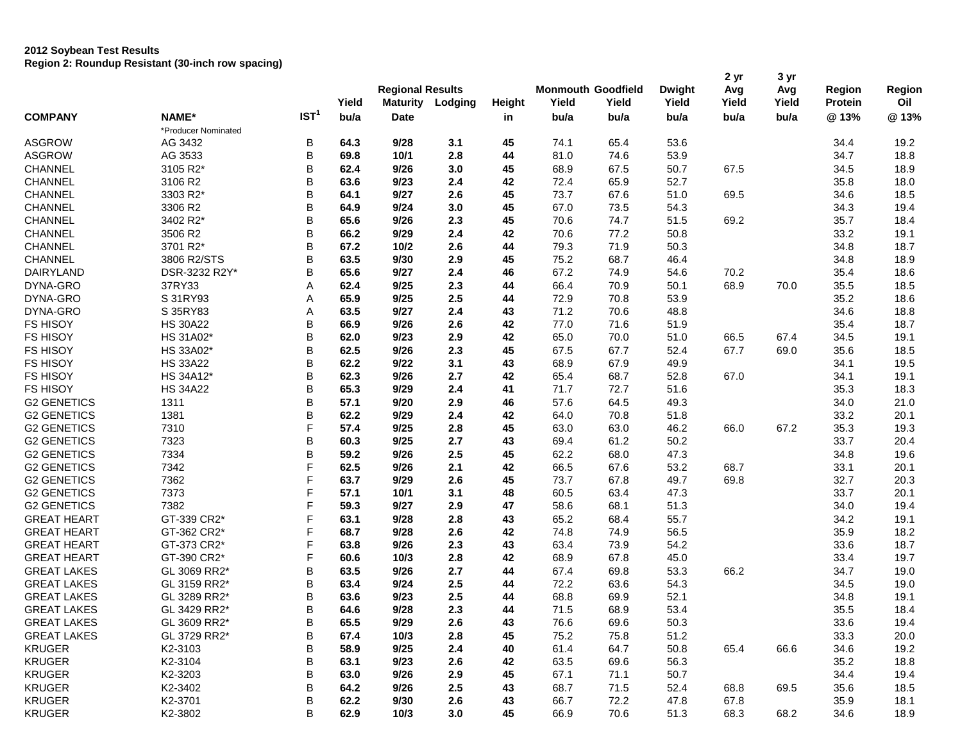|                    |                     |                  | Yield | <b>Regional Results</b><br><b>Maturity</b> | Lodging | Height | Yield | <b>Monmouth Goodfield</b><br>Yield | <b>Dwight</b><br>Yield | 2 yr<br>Avg<br>Yield | 3 yr<br>Avg<br>Yield | Region<br><b>Protein</b> | Region<br>Oil |
|--------------------|---------------------|------------------|-------|--------------------------------------------|---------|--------|-------|------------------------------------|------------------------|----------------------|----------------------|--------------------------|---------------|
| <b>COMPANY</b>     | NAME*               | IST <sup>1</sup> | bu/a  | Date                                       |         | in     | bu/a  | bu/a                               | bu/a                   | bu/a                 | bu/a                 | @13%                     | @13%          |
|                    | *Producer Nominated |                  |       |                                            |         |        |       |                                    |                        |                      |                      |                          |               |
| <b>ASGROW</b>      | AG 3432             | B                | 64.3  | 9/28                                       | 3.1     | 45     | 74.1  | 65.4                               | 53.6                   |                      |                      | 34.4                     | 19.2          |
| <b>ASGROW</b>      | AG 3533             | B                | 69.8  | 10/1                                       | 2.8     | 44     | 81.0  | 74.6                               | 53.9                   |                      |                      | 34.7                     | 18.8          |
| CHANNEL            | 3105 R2*            | B                | 62.4  | 9/26                                       | 3.0     | 45     | 68.9  | 67.5                               | 50.7                   | 67.5                 |                      | 34.5                     | 18.9          |
| <b>CHANNEL</b>     | 3106 R2             | B                | 63.6  | 9/23                                       | 2.4     | 42     | 72.4  | 65.9                               | 52.7                   |                      |                      | 35.8                     | 18.0          |
| CHANNEL            | 3303 R2*            | B                | 64.1  | 9/27                                       | 2.6     | 45     | 73.7  | 67.6                               | 51.0                   | 69.5                 |                      | 34.6                     | 18.5          |
| <b>CHANNEL</b>     | 3306 R2             | B                | 64.9  | 9/24                                       | 3.0     | 45     | 67.0  | 73.5                               | 54.3                   |                      |                      | 34.3                     | 19.4          |
| <b>CHANNEL</b>     | 3402 R2*            | B                | 65.6  | 9/26                                       | 2.3     | 45     | 70.6  | 74.7                               | 51.5                   | 69.2                 |                      | 35.7                     | 18.4          |
| <b>CHANNEL</b>     | 3506 R2             | B                | 66.2  | 9/29                                       | 2.4     | 42     | 70.6  | 77.2                               | 50.8                   |                      |                      | 33.2                     | 19.1          |
| <b>CHANNEL</b>     | 3701 R2*            | B                | 67.2  | 10/2                                       | 2.6     | 44     | 79.3  | 71.9                               | 50.3                   |                      |                      | 34.8                     | 18.7          |
| <b>CHANNEL</b>     | 3806 R2/STS         | B                | 63.5  | 9/30                                       | 2.9     | 45     | 75.2  | 68.7                               | 46.4                   |                      |                      | 34.8                     | 18.9          |
| <b>DAIRYLAND</b>   | DSR-3232 R2Y*       | B                | 65.6  | 9/27                                       | 2.4     | 46     | 67.2  | 74.9                               | 54.6                   | 70.2                 |                      | 35.4                     | 18.6          |
| DYNA-GRO           | 37RY33              | Α                | 62.4  | 9/25                                       | 2.3     | 44     | 66.4  | 70.9                               | 50.1                   | 68.9                 | 70.0                 | 35.5                     | 18.5          |
| DYNA-GRO           | S 31RY93            | Α                | 65.9  | 9/25                                       | 2.5     | 44     | 72.9  | 70.8                               | 53.9                   |                      |                      | 35.2                     | 18.6          |
| DYNA-GRO           | S 35RY83            | Α                | 63.5  | 9/27                                       | 2.4     | 43     | 71.2  | 70.6                               | 48.8                   |                      |                      | 34.6                     | 18.8          |
| <b>FS HISOY</b>    | <b>HS 30A22</b>     | В                | 66.9  | 9/26                                       | 2.6     | 42     | 77.0  | 71.6                               | 51.9                   |                      |                      | 35.4                     | 18.7          |
| <b>FS HISOY</b>    | HS 31A02*           | B                | 62.0  | 9/23                                       | 2.9     | 42     | 65.0  | 70.0                               | 51.0                   | 66.5                 | 67.4                 | 34.5                     | 19.1          |
| <b>FS HISOY</b>    | HS 33A02*           | B                | 62.5  | 9/26                                       | 2.3     | 45     | 67.5  | 67.7                               | 52.4                   | 67.7                 | 69.0                 | 35.6                     | 18.5          |
| <b>FS HISOY</b>    | <b>HS 33A22</b>     | В                | 62.2  | 9/22                                       | 3.1     | 43     | 68.9  | 67.9                               | 49.9                   |                      |                      | 34.1                     | 19.5          |
| <b>FS HISOY</b>    | HS 34A12*           | B                | 62.3  | 9/26                                       | 2.7     | 42     | 65.4  | 68.7                               | 52.8                   | 67.0                 |                      | 34.1                     | 19.1          |
| <b>FS HISOY</b>    | <b>HS 34A22</b>     | B                | 65.3  | 9/29                                       | 2.4     | 41     | 71.7  | 72.7                               | 51.6                   |                      |                      | 35.3                     | 18.3          |
| <b>G2 GENETICS</b> | 1311                | B                | 57.1  | 9/20                                       | 2.9     | 46     | 57.6  | 64.5                               | 49.3                   |                      |                      | 34.0                     | 21.0          |
| <b>G2 GENETICS</b> | 1381                | B                | 62.2  | 9/29                                       | 2.4     | 42     | 64.0  | 70.8                               | 51.8                   |                      |                      | 33.2                     | 20.1          |
| <b>G2 GENETICS</b> | 7310                | F                | 57.4  | 9/25                                       | 2.8     | 45     | 63.0  | 63.0                               | 46.2                   | 66.0                 | 67.2                 | 35.3                     | 19.3          |
| <b>G2 GENETICS</b> | 7323                | B                | 60.3  | 9/25                                       | 2.7     | 43     | 69.4  | 61.2                               | 50.2                   |                      |                      | 33.7                     | 20.4          |
| <b>G2 GENETICS</b> | 7334                | B                | 59.2  | 9/26                                       | 2.5     | 45     | 62.2  | 68.0                               | 47.3                   |                      |                      | 34.8                     | 19.6          |
| <b>G2 GENETICS</b> | 7342                | F                | 62.5  | 9/26                                       | 2.1     | 42     | 66.5  | 67.6                               | 53.2                   | 68.7                 |                      | 33.1                     | 20.1          |
| <b>G2 GENETICS</b> | 7362                | F                | 63.7  | 9/29                                       | 2.6     | 45     | 73.7  | 67.8                               | 49.7                   | 69.8                 |                      | 32.7                     | 20.3          |
| <b>G2 GENETICS</b> | 7373                | F                | 57.1  | 10/1                                       | 3.1     | 48     | 60.5  | 63.4                               | 47.3                   |                      |                      | 33.7                     | 20.1          |
| <b>G2 GENETICS</b> | 7382                | F                | 59.3  | 9/27                                       | 2.9     | 47     | 58.6  | 68.1                               | 51.3                   |                      |                      | 34.0                     | 19.4          |
| <b>GREAT HEART</b> | GT-339 CR2*         | F                | 63.1  | 9/28                                       | 2.8     | 43     | 65.2  | 68.4                               | 55.7                   |                      |                      | 34.2                     | 19.1          |
| <b>GREAT HEART</b> | GT-362 CR2*         | F                | 68.7  | 9/28                                       | 2.6     | 42     | 74.8  | 74.9                               | 56.5                   |                      |                      | 35.9                     | 18.2          |
| <b>GREAT HEART</b> | GT-373 CR2*         | F                | 63.8  | 9/26                                       | 2.3     | 43     | 63.4  | 73.9                               | 54.2                   |                      |                      | 33.6                     | 18.7          |
| <b>GREAT HEART</b> | GT-390 CR2*         | F                | 60.6  | 10/3                                       | 2.8     | 42     | 68.9  | 67.8                               | 45.0                   |                      |                      | 33.4                     | 19.7          |
| <b>GREAT LAKES</b> | GL 3069 RR2*        | B                | 63.5  | 9/26                                       | 2.7     | 44     | 67.4  | 69.8                               | 53.3                   | 66.2                 |                      | 34.7                     | 19.0          |
| <b>GREAT LAKES</b> | GL 3159 RR2*        | B                | 63.4  | 9/24                                       | 2.5     | 44     | 72.2  | 63.6                               | 54.3                   |                      |                      | 34.5                     | 19.0          |
| <b>GREAT LAKES</b> | GL 3289 RR2*        | B                | 63.6  | 9/23                                       | 2.5     | 44     | 68.8  | 69.9                               | 52.1                   |                      |                      | 34.8                     | 19.1          |
| <b>GREAT LAKES</b> | GL 3429 RR2*        | B                | 64.6  | 9/28                                       | 2.3     | 44     | 71.5  | 68.9                               | 53.4                   |                      |                      | 35.5                     | 18.4          |
| <b>GREAT LAKES</b> | GL 3609 RR2*        | В                | 65.5  | 9/29                                       | 2.6     | 43     | 76.6  | 69.6                               | 50.3                   |                      |                      | 33.6                     | 19.4          |
| <b>GREAT LAKES</b> | GL 3729 RR2*        | В                | 67.4  | 10/3                                       | 2.8     | 45     | 75.2  | 75.8                               | 51.2                   |                      |                      | 33.3                     | 20.0          |
| <b>KRUGER</b>      | K2-3103             | B                | 58.9  | 9/25                                       | 2.4     | 40     | 61.4  | 64.7                               | 50.8                   | 65.4                 | 66.6                 | 34.6                     | 19.2          |
| <b>KRUGER</b>      | K2-3104             | В                | 63.1  | 9/23                                       | 2.6     | 42     | 63.5  | 69.6                               | 56.3                   |                      |                      | 35.2                     | 18.8          |
| <b>KRUGER</b>      | K2-3203             | В                | 63.0  | 9/26                                       | 2.9     | 45     | 67.1  | 71.1                               | 50.7                   |                      |                      | 34.4                     | 19.4          |
| <b>KRUGER</b>      | K2-3402             | B                | 64.2  | 9/26                                       | 2.5     | 43     | 68.7  | 71.5                               | 52.4                   | 68.8                 | 69.5                 | 35.6                     | 18.5          |
| <b>KRUGER</b>      | K2-3701             | В                | 62.2  | 9/30                                       | 2.6     | 43     | 66.7  | 72.2                               | 47.8                   | 67.8                 |                      | 35.9                     | 18.1          |
| <b>KRUGER</b>      | K2-3802             | В                | 62.9  | 10/3                                       | 3.0     | 45     | 66.9  | 70.6                               | 51.3                   | 68.3                 | 68.2                 | 34.6                     | 18.9          |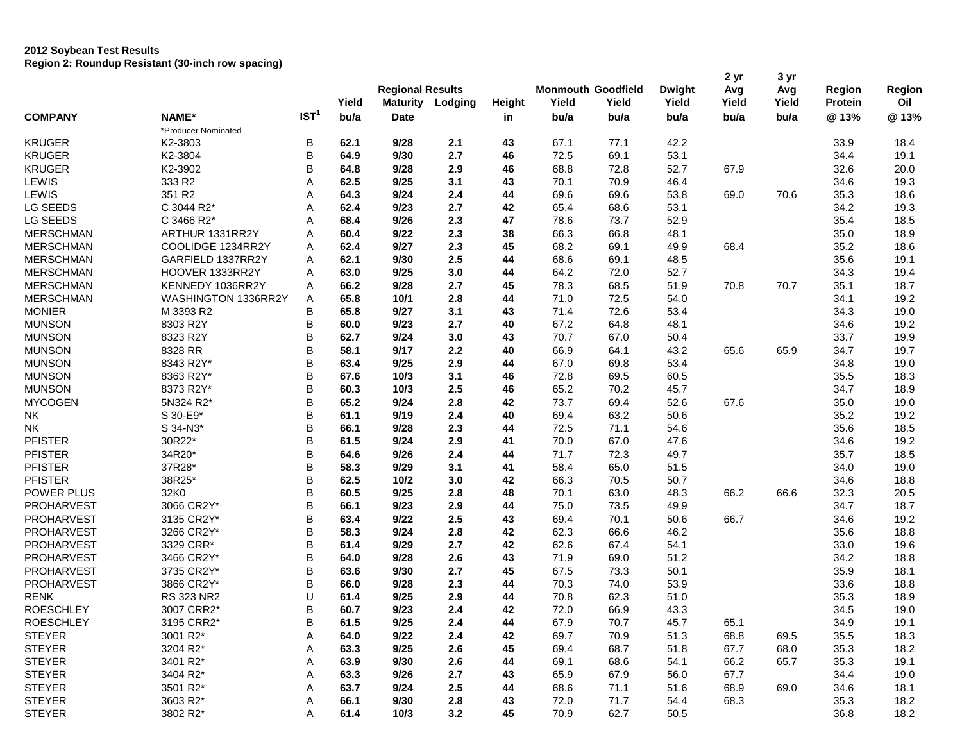|                   |                     |                  | Yield | <b>Regional Results</b><br><b>Maturity</b> | Lodging | Height | Yield | <b>Monmouth Goodfield</b><br>Yield | <b>Dwight</b><br>Yield | 2 yr<br>Avg<br>Yield | 3 yr<br>Avg<br>Yield | Region<br>Protein | Region<br>Oil |
|-------------------|---------------------|------------------|-------|--------------------------------------------|---------|--------|-------|------------------------------------|------------------------|----------------------|----------------------|-------------------|---------------|
| <b>COMPANY</b>    | NAME*               | IST <sup>1</sup> | bu/a  | <b>Date</b>                                |         | in     | bu/a  | bu/a                               | bu/a                   | bu/a                 | bu/a                 | @13%              | @13%          |
|                   | *Producer Nominated |                  |       |                                            |         |        |       |                                    |                        |                      |                      |                   |               |
| <b>KRUGER</b>     | K2-3803             | B                | 62.1  | 9/28                                       | 2.1     | 43     | 67.1  | 77.1                               | 42.2                   |                      |                      | 33.9              | 18.4          |
| <b>KRUGER</b>     | K2-3804             | В                | 64.9  | 9/30                                       | 2.7     | 46     | 72.5  | 69.1                               | 53.1                   |                      |                      | 34.4              | 19.1          |
| <b>KRUGER</b>     | K2-3902             | В                | 64.8  | 9/28                                       | 2.9     | 46     | 68.8  | 72.8                               | 52.7                   | 67.9                 |                      | 32.6              | 20.0          |
| LEWIS             | 333 R2              | Α                | 62.5  | 9/25                                       | 3.1     | 43     | 70.1  | 70.9                               | 46.4                   |                      |                      | 34.6              | 19.3          |
| LEWIS             | 351 R2              | Α                | 64.3  | 9/24                                       | 2.4     | 44     | 69.6  | 69.6                               | 53.8                   | 69.0                 | 70.6                 | 35.3              | 18.6          |
| <b>LG SEEDS</b>   | C 3044 R2*          | Α                | 62.4  | 9/23                                       | 2.7     | 42     | 65.4  | 68.6                               | 53.1                   |                      |                      | 34.2              | 19.3          |
| LG SEEDS          | C 3466 R2*          | Α                | 68.4  | 9/26                                       | 2.3     | 47     | 78.6  | 73.7                               | 52.9                   |                      |                      | 35.4              | 18.5          |
| <b>MERSCHMAN</b>  | ARTHUR 1331RR2Y     | Α                | 60.4  | 9/22                                       | 2.3     | 38     | 66.3  | 66.8                               | 48.1                   |                      |                      | 35.0              | 18.9          |
| <b>MERSCHMAN</b>  | COOLIDGE 1234RR2Y   | Α                | 62.4  | 9/27                                       | 2.3     | 45     | 68.2  | 69.1                               | 49.9                   | 68.4                 |                      | 35.2              | 18.6          |
| <b>MERSCHMAN</b>  | GARFIELD 1337RR2Y   | Α                | 62.1  | 9/30                                       | 2.5     | 44     | 68.6  | 69.1                               | 48.5                   |                      |                      | 35.6              | 19.1          |
| <b>MERSCHMAN</b>  | HOOVER 1333RR2Y     | Α                | 63.0  | 9/25                                       | 3.0     | 44     | 64.2  | 72.0                               | 52.7                   |                      |                      | 34.3              | 19.4          |
| <b>MERSCHMAN</b>  | KENNEDY 1036RR2Y    | Α                | 66.2  | 9/28                                       | 2.7     | 45     | 78.3  | 68.5                               | 51.9                   | 70.8                 | 70.7                 | 35.1              | 18.7          |
| <b>MERSCHMAN</b>  | WASHINGTON 1336RR2Y | Α                | 65.8  | 10/1                                       | 2.8     | 44     | 71.0  | 72.5                               | 54.0                   |                      |                      | 34.1              | 19.2          |
| <b>MONIER</b>     | M 3393 R2           | B                | 65.8  | 9/27                                       | 3.1     | 43     | 71.4  | 72.6                               | 53.4                   |                      |                      | 34.3              | 19.0          |
| <b>MUNSON</b>     | 8303 R2Y            | В                | 60.0  | 9/23                                       | 2.7     | 40     | 67.2  | 64.8                               | 48.1                   |                      |                      | 34.6              | 19.2          |
| <b>MUNSON</b>     | 8323 R2Y            | B                | 62.7  | 9/24                                       | 3.0     | 43     | 70.7  | 67.0                               | 50.4                   |                      |                      | 33.7              | 19.9          |
| <b>MUNSON</b>     | 8328 RR             | B                | 58.1  | 9/17                                       | 2.2     | 40     | 66.9  | 64.1                               | 43.2                   | 65.6                 | 65.9                 | 34.7              | 19.7          |
| <b>MUNSON</b>     | 8343 R2Y*           | B                | 63.4  | 9/25                                       | 2.9     | 44     | 67.0  | 69.8                               | 53.4                   |                      |                      | 34.8              | 19.0          |
| <b>MUNSON</b>     | 8363 R2Y*           | В                | 67.6  | 10/3                                       | 3.1     | 46     | 72.8  | 69.5                               | 60.5                   |                      |                      | 35.5              | 18.3          |
| <b>MUNSON</b>     | 8373 R2Y*           | B                | 60.3  | 10/3                                       | 2.5     | 46     | 65.2  | 70.2                               | 45.7                   |                      |                      | 34.7              | 18.9          |
| <b>MYCOGEN</b>    | 5N324 R2*           | B                | 65.2  | 9/24                                       | 2.8     | 42     | 73.7  | 69.4                               | 52.6                   | 67.6                 |                      | 35.0              | 19.0          |
| <b>NK</b>         | S 30-E9*            | B                | 61.1  | 9/19                                       | 2.4     | 40     | 69.4  | 63.2                               | 50.6                   |                      |                      | 35.2              | 19.2          |
| NΚ                | S 34-N3*            | B                | 66.1  | 9/28                                       | 2.3     | 44     | 72.5  | 71.1                               | 54.6                   |                      |                      | 35.6              | 18.5          |
| <b>PFISTER</b>    | 30R22*              | B                | 61.5  | 9/24                                       | 2.9     | 41     | 70.0  | 67.0                               | 47.6                   |                      |                      | 34.6              | 19.2          |
| <b>PFISTER</b>    | 34R20*              | B                | 64.6  | 9/26                                       | 2.4     | 44     | 71.7  | 72.3                               | 49.7                   |                      |                      | 35.7              | 18.5          |
| <b>PFISTER</b>    | 37R28*              | B                | 58.3  | 9/29                                       | 3.1     | 41     | 58.4  | 65.0                               | 51.5                   |                      |                      | 34.0              | 19.0          |
| <b>PFISTER</b>    | 38R25*              | B                | 62.5  | 10/2                                       | 3.0     | 42     | 66.3  | 70.5                               | 50.7                   |                      |                      | 34.6              | 18.8          |
| POWER PLUS        | 32K0                | В                | 60.5  | 9/25                                       | 2.8     | 48     | 70.1  | 63.0                               | 48.3                   | 66.2                 | 66.6                 | 32.3              | 20.5          |
| <b>PROHARVEST</b> | 3066 CR2Y*          | B                | 66.1  | 9/23                                       | 2.9     | 44     | 75.0  | 73.5                               | 49.9                   |                      |                      | 34.7              | 18.7          |
| <b>PROHARVEST</b> | 3135 CR2Y*          | B                | 63.4  | 9/22                                       | 2.5     | 43     | 69.4  | 70.1                               | 50.6                   | 66.7                 |                      | 34.6              | 19.2          |
| <b>PROHARVEST</b> | 3266 CR2Y*          | B                | 58.3  | 9/24                                       | 2.8     | 42     | 62.3  | 66.6                               | 46.2                   |                      |                      | 35.6              | 18.8          |
| <b>PROHARVEST</b> | 3329 CRR*           | B                | 61.4  | 9/29                                       | 2.7     | 42     | 62.6  | 67.4                               | 54.1                   |                      |                      | 33.0              | 19.6          |
| PROHARVEST        | 3466 CR2Y*          | B                | 64.0  | 9/28                                       | 2.6     | 43     | 71.9  | 69.0                               | 51.2                   |                      |                      | 34.2              | 18.8          |
| <b>PROHARVEST</b> | 3735 CR2Y*          | В                | 63.6  | 9/30                                       | 2.7     | 45     | 67.5  | 73.3                               | 50.1                   |                      |                      | 35.9              | 18.1          |
| <b>PROHARVEST</b> | 3866 CR2Y*          | B                | 66.0  | 9/28                                       | 2.3     | 44     | 70.3  | 74.0                               | 53.9                   |                      |                      | 33.6              | 18.8          |
| <b>RENK</b>       | RS 323 NR2          | U                | 61.4  | 9/25                                       | 2.9     | 44     | 70.8  | 62.3                               | 51.0                   |                      |                      | 35.3              | 18.9          |
| <b>ROESCHLEY</b>  | 3007 CRR2*          | B                | 60.7  | 9/23                                       | 2.4     | 42     | 72.0  | 66.9                               | 43.3                   |                      |                      | 34.5              | 19.0          |
| <b>ROESCHLEY</b>  | 3195 CRR2*          | В                | 61.5  | 9/25                                       | 2.4     | 44     | 67.9  | 70.7                               | 45.7                   | 65.1                 |                      | 34.9              | 19.1          |
| <b>STEYER</b>     | 3001 R2*            | Α                | 64.0  | 9/22                                       | 2.4     | 42     | 69.7  | 70.9                               | 51.3                   | 68.8                 | 69.5                 | 35.5              | 18.3          |
| <b>STEYER</b>     | 3204 R2*            | Α                | 63.3  | 9/25                                       | 2.6     | 45     | 69.4  | 68.7                               | 51.8                   | 67.7                 | 68.0                 | 35.3              | 18.2          |
| <b>STEYER</b>     | 3401 R2*            | Α                | 63.9  | 9/30                                       | 2.6     | 44     | 69.1  | 68.6                               | 54.1                   | 66.2                 | 65.7                 | 35.3              | 19.1          |
| <b>STEYER</b>     | 3404 R2*            | Α                | 63.3  | 9/26                                       | 2.7     | 43     | 65.9  | 67.9                               | 56.0                   | 67.7                 |                      | 34.4              | 19.0          |
| <b>STEYER</b>     | 3501 R2*            | Α                | 63.7  | 9/24                                       | 2.5     | 44     | 68.6  | 71.1                               | 51.6                   | 68.9                 | 69.0                 | 34.6              | 18.1          |
| <b>STEYER</b>     | 3603 R2*            | Α                | 66.1  | 9/30                                       | 2.8     | 43     | 72.0  | 71.7                               | 54.4                   | 68.3                 |                      | 35.3              | 18.2          |
| <b>STEYER</b>     | 3802 R2*            | Α                | 61.4  | 10/3                                       | 3.2     | 45     | 70.9  | 62.7                               | 50.5                   |                      |                      | 36.8              | 18.2          |